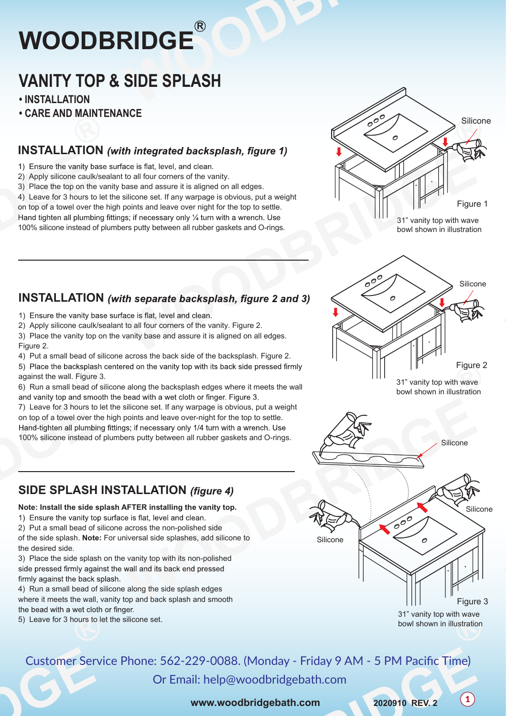# **R WOODBRIDGE**

# **VANITY TOP & SIDE SPLASH**

**• INSTALLATION** 

Figure 2.

against the wall. Figure 3.

**• CARE AND MAINTENANCE**

## **INSTALLATION** (with integrated backsplash, figure 1)

1) Ensure the vanity base surface is flat, level, and clean.

- 2) Apply silicone caulk/sealant to all four corners of the vanity.
- 3) Place the top on the vanity base and assure it is aligned on all edges.

4) Leave for 3 hours to let the silicone set. If any warpage is obvious, put a weight

on top of a towel over the high points and leave over night for the top to settle. Hand tighten all plumbing fittings; if necessary only  $\frac{1}{4}$  turn with a wrench. Use 100% silicone instead of plumbers putty between all rubber gaskets and O-rings.

**INSTALLATION** (with separate backsplash, figure 2 and 3)

2) Apply silicone caulk/sealant to all four corners of the vanity. Figure 2. 3) Place the vanity top on the vanity base and assure it is aligned on all edges.

and vanity top and smooth the bead with a wet cloth or finger. Figure 3.

1) Ensure the vanity base surface is flat, level and clean.

4) Put a small bead of silicone across the back side of the backsplash. Figure 2.

6) Run a small bead of silicone along the backsplash edges where it meets the wall

5) Place the backsplash centered on the vanity top with its back side pressed firmly

7) Leave for 3 hours to let the silicone set. If any warpage is obvious, put a weight on top of a towel over the high points and leave over-night for the top to settle.

Hand-tighten all plumbing fittings; if necessary only 1/4 turn with a wrench. Use



<sup>31&</sup>quot; vanity top with wave bowl shown in illustration

# 600 Silicone Figure 2



31" vanity top with wave bowl shown in illustration

Silicone

Figure 3



600

Silicone



#### **Note: Install the side splash AFTER installing the vanity top.**

1) Ensure the vanity top surface is flat, level and clean.

- 2) Put a small bead of silicone across the non-polished side
- of the side splash. **Note:** For universal side splashes, add silicone to the desired side.

3) Place the side splash on the vanity top with its non-polished side pressed firmly against the wall and its back end pressed firmly against the back splash.

4) Run a small bead of silicone along the side splash edges where it meets the wall, vanity top and back splash and smooth the bead with a wet cloth or finger.

5) Leave for 3 hours to let the silicone set.

# Customer Service Phone: 562-229-0088. (Monday - Friday 9 AM - 5 PM Pacific Time)

Or Email: help@woodbridgebath.com

**www.woodbridgebath.com**

<sup>1</sup> **2020910 REV. 2**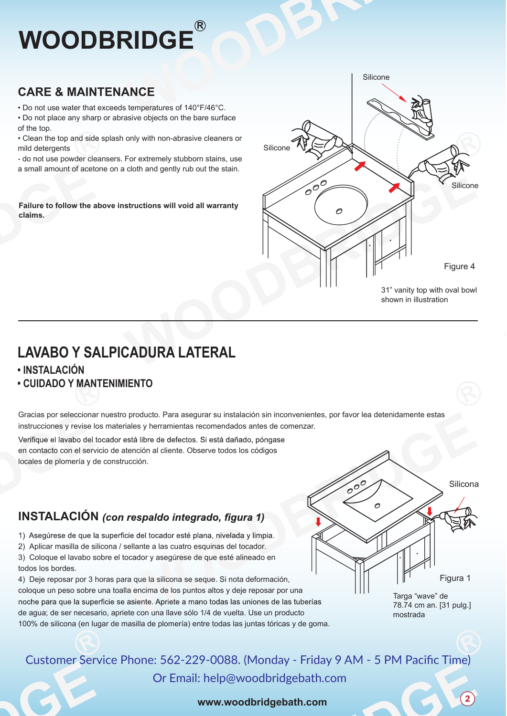# **R WOODBRIDGE**

# **CARE & MAINTENANCE**

• Do not use water that exceeds temperatures of 140°F/46°C.

• Do not place any sharp or abrasive objects on the bare surface of the top.

• Clean the top and side splash only with non-abrasive cleaners or mild detergents

- do not use powder cleansers. For extremely stubborn stains, use a small amount of acetone on a cloth and gently rub out the stain.

**Failure to follow the above instructions will void all warranty claims.** 



**LAVABO Y SALPICADURA LATERAL**

### **• INSTALACIÓN**

#### **• CUIDADO Y MANTENIMIENTO**

Gracias por seleccionar nuestro producto. Para asegurar su instalación sin inconvenientes, por favor lea detenidamente estas instrucciones y revise los materiales y herramientas recomendados antes de comenzar.

Verifique el lavabo del tocador está libre de defectos. Si está dañado, póngase en contacto con el servicio de atención al cliente. Observe todos los códigos locales de plomería y de construcción.

# **INSTALACIÓN** (con respaldo integrado, figura 1)

1) Asegúrese de que la superficie del tocador esté plana, nivelada y limpia.

2) Aplicar masilla de silicona / sellante a las cuatro esquinas del tocador.

3) Coloque el lavabo sobre el tocador y asegúrese de que esté alineado en todos los bordes.

4) Deje reposar por 3 horas para que la silicona se seque. Si nota deformación, coloque un peso sobre una toalla encima de los puntos altos y deje reposar por una noche para que la superficie se asiente. Apriete a mano todas las uniones de las tuberías de agua; de ser necesario, apriete con una llave sólo 1/4 de vuelta. Use un producto 100% de silicona (en lugar de masilla de plomería) entre todas las juntas tóricas y de goma.

n Silicona Figura 1 Targa "wave" de

78.74 cm an. [31 pulg.] mostrada

2

# Customer Service Phone: 562-229-0088. (Monday - Friday 9 AM - 5 PM Pacific Time)

Or Email: help@woodbridgebath.com

#### **www.woodbridgebath.com**